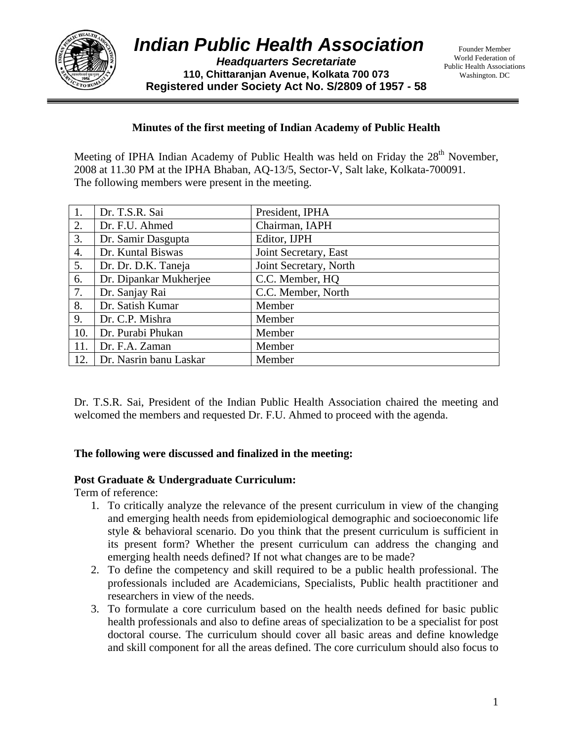

*Headquarters Secretariate*  **110, Chittaranjan Avenue, Kolkata 700 073 Registered under Society Act No. S/2809 of 1957 - 58**

## **Minutes of the first meeting of Indian Academy of Public Health**

Meeting of IPHA Indian Academy of Public Health was held on Friday the  $28<sup>th</sup>$  November, 2008 at 11.30 PM at the IPHA Bhaban, AQ-13/5, Sector-V, Salt lake, Kolkata-700091. The following members were present in the meeting.

| 1.  | Dr. T.S.R. Sai         | President, IPHA        |
|-----|------------------------|------------------------|
| 2.  | Dr. F.U. Ahmed         | Chairman, IAPH         |
| 3.  | Dr. Samir Dasgupta     | Editor, IJPH           |
| 4.  | Dr. Kuntal Biswas      | Joint Secretary, East  |
| 5.  | Dr. Dr. D.K. Taneja    | Joint Secretary, North |
| 6.  | Dr. Dipankar Mukherjee | C.C. Member, HQ        |
| 7.  | Dr. Sanjay Rai         | C.C. Member, North     |
| 8.  | Dr. Satish Kumar       | Member                 |
| 9.  | Dr. C.P. Mishra        | Member                 |
| 10. | Dr. Purabi Phukan      | Member                 |
| 11. | Dr. F.A. Zaman         | Member                 |
| 12. | Dr. Nasrin banu Laskar | Member                 |

Dr. T.S.R. Sai, President of the Indian Public Health Association chaired the meeting and welcomed the members and requested Dr. F.U. Ahmed to proceed with the agenda.

## **The following were discussed and finalized in the meeting:**

## **Post Graduate & Undergraduate Curriculum:**

Term of reference:

- 1. To critically analyze the relevance of the present curriculum in view of the changing and emerging health needs from epidemiological demographic and socioeconomic life style & behavioral scenario. Do you think that the present curriculum is sufficient in its present form? Whether the present curriculum can address the changing and emerging health needs defined? If not what changes are to be made?
- 2. To define the competency and skill required to be a public health professional. The professionals included are Academicians, Specialists, Public health practitioner and researchers in view of the needs.
- 3. To formulate a core curriculum based on the health needs defined for basic public health professionals and also to define areas of specialization to be a specialist for post doctoral course. The curriculum should cover all basic areas and define knowledge and skill component for all the areas defined. The core curriculum should also focus to